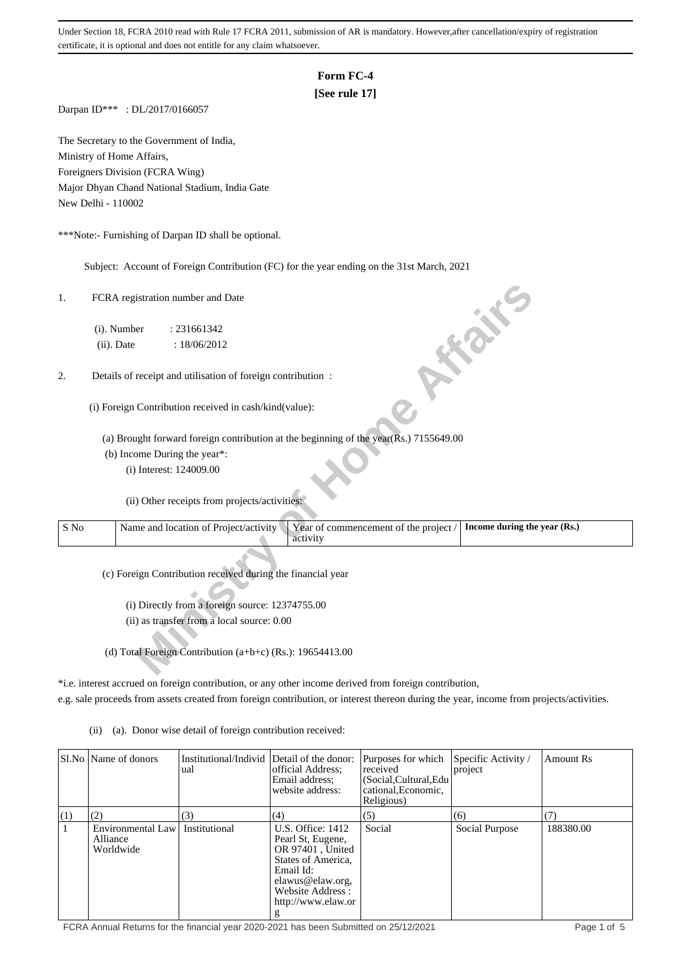# **Form FC-4**

# **[See rule 17]**

Darpan ID\*\*\* : DL/2017/0166057

The Secretary to the Government of India, Ministry of Home Affairs, Foreigners Division (FCRA Wing) Major Dhyan Chand National Stadium, India Gate New Delhi - 110002

\*\*\*Note:- Furnishing of Darpan ID shall be optional.

Subject: Account of Foreign Contribution (FC) for the year ending on the 31st March, 2021

| 1.   | FCRA registration number and Date                                                                                          |
|------|----------------------------------------------------------------------------------------------------------------------------|
|      | (i). Number<br>: 231661342                                                                                                 |
|      | <b>10 % %</b><br>(ii). Date<br>: 18/06/2012                                                                                |
| 2.   | Details of receipt and utilisation of foreign contribution :                                                               |
|      | (i) Foreign Contribution received in cash/kind(value):                                                                     |
|      | (a) Brought forward foreign contribution at the beginning of the year(Rs.) 7155649.00                                      |
|      | (b) Income During the year*:                                                                                               |
|      | (i) Interest: 124009.00                                                                                                    |
|      | (ii) Other receipts from projects/activities:                                                                              |
| S No | Name and location of Project/activity<br>Year of commencement of the project /<br>Income during the year (Rs.)<br>activity |
|      | (c) Foreign Contribution received during the financial year                                                                |
|      | (i) Directly from a foreign source: 12374755.00                                                                            |
|      | (ii) as transfer from a local source: 0.00                                                                                 |
|      |                                                                                                                            |
|      | (d) Total Foreign Contribution (a+b+c) (Rs.): 19654413.00                                                                  |

\*i.e. interest accrued on foreign contribution, or any other income derived from foreign contribution,

e.g. sale proceeds from assets created from foreign contribution, or interest thereon during the year, income from projects/activities.

(ii) (a). Donor wise detail of foreign contribution received:

|     | SLNo Name of donors                        | Institutional/Individ Detail of the donor:<br>ual | official Address;<br>Email address:<br>website address:                                                                                                          | Purposes for which<br>received<br>(Social, Cultural, Edu<br>cational, Economic,<br>Religious) | Specific Activity /<br>project | Amount Rs |
|-----|--------------------------------------------|---------------------------------------------------|------------------------------------------------------------------------------------------------------------------------------------------------------------------|-----------------------------------------------------------------------------------------------|--------------------------------|-----------|
| (1) | (2)                                        | (3)                                               | (4)                                                                                                                                                              | (5)                                                                                           | (6)                            | (7)       |
|     | Environmental Law<br>Alliance<br>Worldwide | Institutional                                     | U.S. Office: 1412<br>Pearl St, Eugene,<br>OR 97401, United<br>States of America.<br>Email Id:<br>elawus@elaw.org.<br>Website Address:<br>http://www.elaw.or<br>g | Social                                                                                        | Social Purpose                 | 188380.00 |

FCRA Annual Returns for the financial year 2020-2021 has been Submitted on 25/12/2021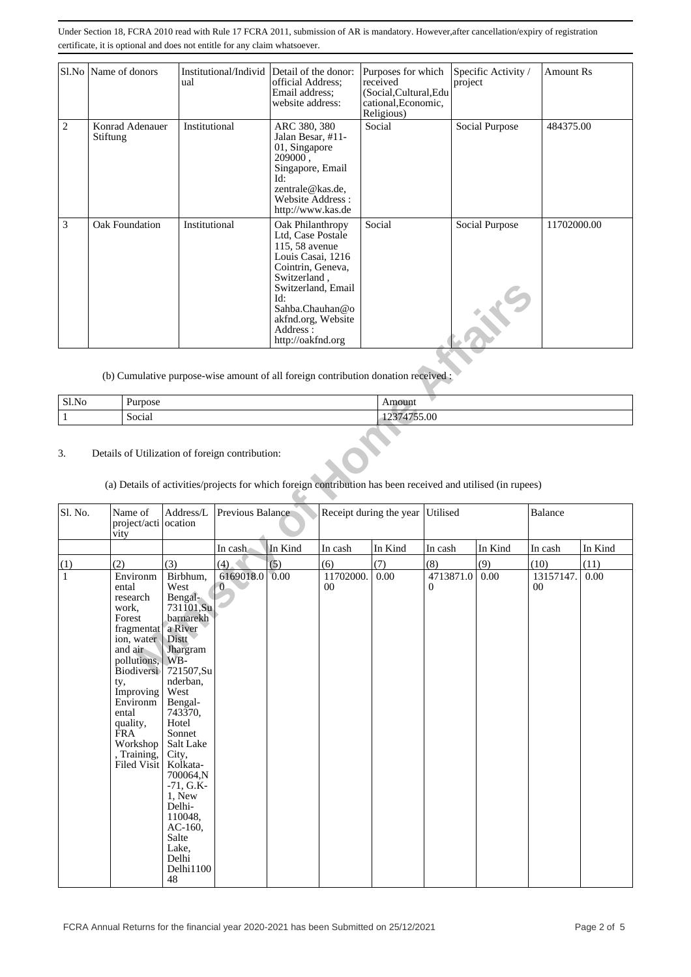|                | Sl.No   Name of donors      | Institutional/Individ Detail of the donor:<br>ual | official Address;<br>Email address:<br>website address:                                                                                                                                                                  | Purposes for which<br>received<br>(Social, Cultural, Edu<br>cational, Economic,<br>Religious) | Specific Activity /<br>project          | Amount Rs   |
|----------------|-----------------------------|---------------------------------------------------|--------------------------------------------------------------------------------------------------------------------------------------------------------------------------------------------------------------------------|-----------------------------------------------------------------------------------------------|-----------------------------------------|-------------|
| $\overline{c}$ | Konrad Adenauer<br>Stiftung | Institutional                                     | ARC 380, 380<br>Jalan Besar, #11-<br>01, Singapore<br>209000.<br>Singapore, Email<br>Id:<br>zentrale@kas.de,<br>Website Address:<br>http://www.kas.de                                                                    | Social                                                                                        | Social Purpose                          | 484375.00   |
| 3              | Oak Foundation              | Institutional                                     | Oak Philanthropy<br>Ltd, Case Postale<br>115, 58 avenue<br>Louis Casai, 1216<br>Cointrin, Geneva,<br>Switzerland,<br>Switzerland, Email<br>Id:<br>Sahba.Chauhan@o<br>akfnd.org, Website<br>Address:<br>http://oakfnd.org | Social                                                                                        | Social Purpose<br>$\mathbf{X}^{\prime}$ | 11702000.00 |

| 013<br>SI.NO | $\mathbf{r}$<br>Purpose<br>$\cdots$ |              |
|--------------|-------------------------------------|--------------|
|              | Social                              | 55.00<br>--- |

# 3. Details of Utilization of foreign contribution:

| Sl.No<br>$\mathbf{1}$<br>3. | (b) Cumulative purpose-wise amount of all foreign contribution donation received :<br>Purpose<br>Social<br>Details of Utilization of foreign contribution:                                                                                      |                                                                                                                                                                                                                                                                                                                                   |                             | Switzerland, Email<br>Id:<br>Sahba.Chauhan@o<br>akfnd.org, Website<br>Address:<br>http://oakfnd.org |                     | Amount<br>12374755.00            |                           |          |                     |         |
|-----------------------------|-------------------------------------------------------------------------------------------------------------------------------------------------------------------------------------------------------------------------------------------------|-----------------------------------------------------------------------------------------------------------------------------------------------------------------------------------------------------------------------------------------------------------------------------------------------------------------------------------|-----------------------------|-----------------------------------------------------------------------------------------------------|---------------------|----------------------------------|---------------------------|----------|---------------------|---------|
|                             | (a) Details of activities/projects for which foreign contribution has been received and utilised (in rupees)                                                                                                                                    |                                                                                                                                                                                                                                                                                                                                   |                             |                                                                                                     |                     |                                  |                           |          |                     |         |
| Sl. No.                     | Name of<br>project/acti ocation<br>vity                                                                                                                                                                                                         | Address/L                                                                                                                                                                                                                                                                                                                         | Previous Balance            |                                                                                                     |                     | Receipt during the year Utilised |                           |          | Balance             |         |
|                             |                                                                                                                                                                                                                                                 |                                                                                                                                                                                                                                                                                                                                   | In cash                     | In Kind                                                                                             | In cash             | In Kind                          | In cash                   | In Kind  | In cash             | In Kind |
| (1)                         | (2)                                                                                                                                                                                                                                             | (3)                                                                                                                                                                                                                                                                                                                               | (4)                         | (5)                                                                                                 | (6)                 | (7)                              | (8)                       | (9)      | (10)                | (11)    |
| $\mathbf{1}$                | Environm<br>ental<br>research<br>work.<br>Forest<br>fragmentat<br>ion, water<br>and air<br>pollutions,<br><b>Biodiversi</b><br>ty,<br>Improving<br>Environm<br>ental<br>quality,<br><b>FRA</b><br>Workshop<br>, Training,<br><b>Filed Visit</b> | Birbhum,<br>West<br>Bengal-<br>731101,Su<br>barnarekh<br>a River<br><b>Distt</b><br>Jhargram<br>WB-<br>721507,Su<br>nderban,<br>West<br>Bengal-<br>743370,<br>Hotel<br>Sonnet<br>Salt Lake<br>City,<br>Kolkata-<br>700064,N<br>$-71, G.K$<br>1, New<br>Delhi-<br>110048.<br>AC-160,<br>Salte<br>Lake,<br>Delhi<br>Delhi1100<br>48 | 6169018.0<br>$\overline{0}$ | 0.00                                                                                                | 11702000.<br>$00\,$ | $0.00\,$                         | 4713871.0<br>$\mathbf{0}$ | $0.00\,$ | 13157147.<br>$00\,$ | 0.00    |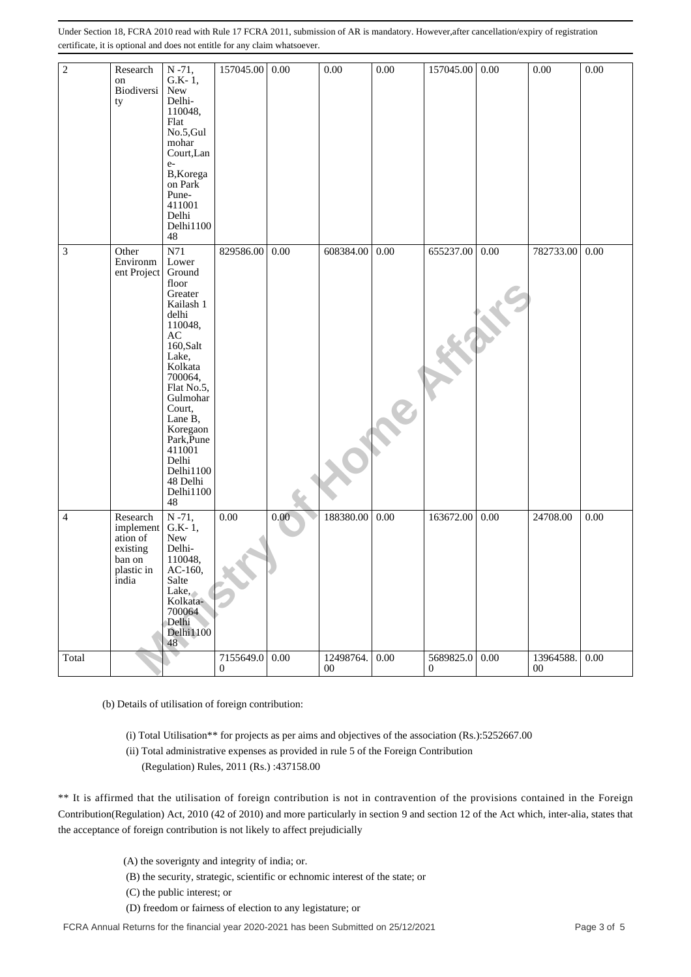| $\sqrt{2}$                  | Research<br>on<br>Biodiversi<br>ty                                             | $N - 71$ ,<br>$G.K-1,$<br>New<br>Delhi-<br>110048,<br>Flat<br>No.5, Gul<br>mohar<br>Court, Lan<br>$e-$<br>B, Korega<br>on Park<br>Pune-<br>411001<br>Delhi<br>Delhi1100<br>48                                                                                                                                                                                                                                                                                                                                                                                                                                                                                                                                                                                                                                                                                                                      | 157045.00             | 0.00     | 0.00            | 0.00     | 157045.00      | 0.00 | 0.00            | 0.00 |
|-----------------------------|--------------------------------------------------------------------------------|----------------------------------------------------------------------------------------------------------------------------------------------------------------------------------------------------------------------------------------------------------------------------------------------------------------------------------------------------------------------------------------------------------------------------------------------------------------------------------------------------------------------------------------------------------------------------------------------------------------------------------------------------------------------------------------------------------------------------------------------------------------------------------------------------------------------------------------------------------------------------------------------------|-----------------------|----------|-----------------|----------|----------------|------|-----------------|------|
| $\ensuremath{\mathfrak{Z}}$ | Other<br>Environm<br>ent Project                                               | N71<br>Lower<br>Ground<br>floor<br>Greater<br>Kailash 1<br>delhi<br>110048,<br>AC<br>160,Salt<br>Lake,<br>Kolkata<br>700064,<br>Flat No.5,<br>Gulmohar<br>Court,<br>Lane B,<br>Koregaon<br>Park, Pune<br>411001<br>Delhi<br>Delhi1100<br>48 Delhi<br>Delhi1100<br>48                                                                                                                                                                                                                                                                                                                                                                                                                                                                                                                                                                                                                               | 829586.00             | 0.00     | 608384.00       | 0.00     | 655237.00      | 0.00 | 782733.00       | 0.00 |
| 4                           | Research<br>implement<br>ation of<br>existing<br>ban on<br>plastic in<br>india | $N - 71$ ,<br>$G.K-1,$<br>New<br>Delhi-<br>110048,<br>AC-160,<br>Salte<br>Lake,<br>Kolkata-<br>700064<br>Delhi<br>Delhi1100<br>48                                                                                                                                                                                                                                                                                                                                                                                                                                                                                                                                                                                                                                                                                                                                                                  | 0.00                  | 0.00     | 188380.00       | 0.00     | 163672.00      | 0.00 | 24708.00        | 0.00 |
| Total                       |                                                                                |                                                                                                                                                                                                                                                                                                                                                                                                                                                                                                                                                                                                                                                                                                                                                                                                                                                                                                    | 7155649.0<br>$\bf{0}$ | $0.00\,$ | 12498764.<br>00 | $0.00\,$ | 5689825.0<br>0 | 0.00 | 13964588.<br>00 | 0.00 |
|                             |                                                                                | (b) Details of utilisation of foreign contribution:<br>(i) Total Utilisation** for projects as per aims and objectives of the association (Rs.):5252667.00<br>(ii) Total administrative expenses as provided in rule 5 of the Foreign Contribution<br>(Regulation) Rules, 2011 (Rs.):437158.00<br>** It is affirmed that the utilisation of foreign contribution is not in contravention of the provisions contained in the Foreign<br>Contribution(Regulation) Act, 2010 (42 of 2010) and more particularly in section 9 and section 12 of the Act which, inter-alia, states that<br>the acceptance of foreign contribution is not likely to affect prejudicially<br>(A) the soverignty and integrity of india; or.<br>(B) the security, strategic, scientific or echnomic interest of the state; or<br>(C) the public interest; or<br>(D) freedom or fairness of election to any legistature; or |                       |          |                 |          |                |      |                 |      |
|                             |                                                                                |                                                                                                                                                                                                                                                                                                                                                                                                                                                                                                                                                                                                                                                                                                                                                                                                                                                                                                    |                       |          |                 |          |                |      |                 |      |

- (A) the soverignty and integrity of india; or.
- (B) the security, strategic, scientific or echnomic interest of the state; or
- (C) the public interest; or
-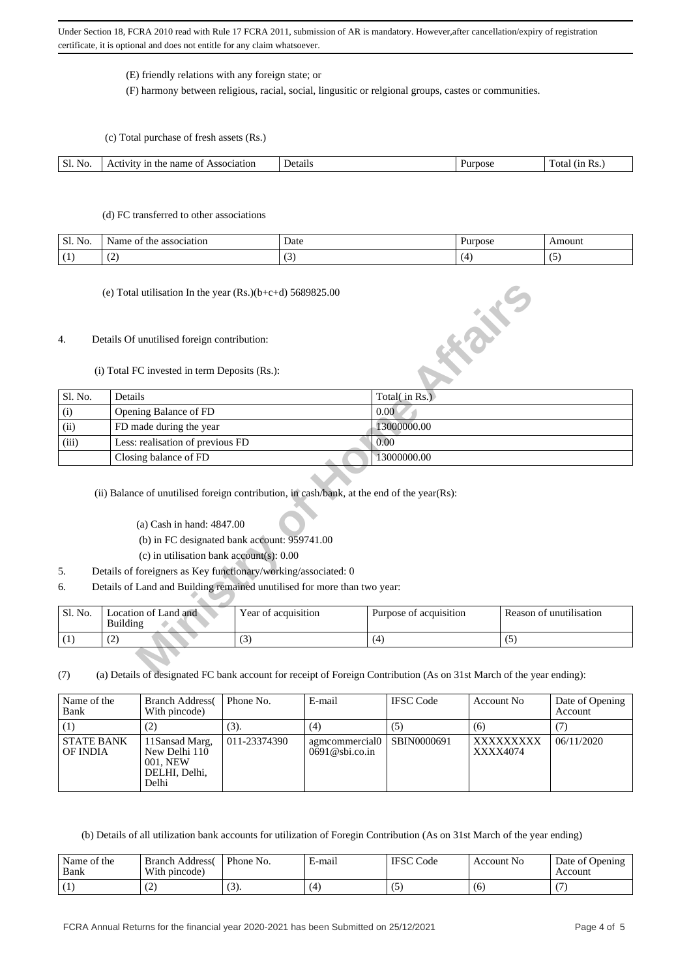## (E) friendly relations with any foreign state; or

(F) harmony between religious, racial, social, lingusitic or relgional groups, castes or communities.

(c) Total purchase of fresh assets (Rs.)

| SI.<br>NO. | :1at10n<br>name<br>. | Jet.<br>rtail. | ota<br>$\mathbf{r}$<br>ີ<br>. |
|------------|----------------------|----------------|-------------------------------|
|            |                      |                |                               |

### (d) FC transferred to other associations

| Sl.<br>N0. | occ.<br>ociation<br>.ne<br>me | Date<br>.   | urnose | $-1112$<br>moun |
|------------|-------------------------------|-------------|--------|-----------------|
|            | $\sim$<br>. .                 | $\sim$<br>້ |        |                 |

### 4. Details Of unutilised foreign contribution:

|         | (e) Total utilisation In the year $(Rs.)(b+c+d)$ 5689825.00                                                             |                                              |                                                                                                                      |                         |
|---------|-------------------------------------------------------------------------------------------------------------------------|----------------------------------------------|----------------------------------------------------------------------------------------------------------------------|-------------------------|
| 4.      | Details Of unutilised foreign contribution:                                                                             |                                              | <b>HONE</b>                                                                                                          |                         |
|         | (i) Total FC invested in term Deposits (Rs.):                                                                           |                                              |                                                                                                                      |                         |
| Sl. No. | Details                                                                                                                 |                                              | Total(in Rs.)                                                                                                        |                         |
| (i)     | Opening Balance of FD                                                                                                   |                                              | 0.00                                                                                                                 |                         |
| (ii)    | FD made during the year                                                                                                 |                                              | 13000000.00                                                                                                          |                         |
| (iii)   | Less: realisation of previous FD                                                                                        |                                              | 0.00                                                                                                                 |                         |
|         | Closing balance of FD                                                                                                   |                                              | 13000000.00                                                                                                          |                         |
|         | (ii) Balance of unutilised foreign contribution, in cash/bank, at the end of the year(Rs):<br>(a) Cash in hand: 4847.00 | (b) in FC designated bank account: 959741.00 |                                                                                                                      |                         |
|         | (c) in utilisation bank account(s): $0.00$                                                                              |                                              |                                                                                                                      |                         |
| .5.     | Details of foreigners as Key functionary/working/associated: 0                                                          |                                              |                                                                                                                      |                         |
| 6.      | Details of Land and Building remained unutilised for more than two year:                                                |                                              |                                                                                                                      |                         |
| Sl. No. | Location of Land and<br>Building                                                                                        | Year of acquisition                          | Purpose of acquisition                                                                                               | Reason of unutilisation |
| (1)     | (2)                                                                                                                     | (3)                                          | (4)                                                                                                                  | (5)                     |
| (7)     |                                                                                                                         |                                              | (a) Details of designated EC bank account for receipt of Foreign Contribution (As on 31st March of the year ending): |                         |

- 5. Details of foreigners as Key functionary/working/associated: 0
- 6. Details of Land and Building remained unutilised for more than two year:

| Sl. No. | Location of Land and<br>Building | .<br>Year of acquisition | Purpose of acquisition | Reason of unutilisation |
|---------|----------------------------------|--------------------------|------------------------|-------------------------|
|         | $\sqrt{2}$<br>∸                  | $\sim$<br>◡              | ۱4                     | $\ddot{\phantom{0}}$    |

(7) (a) Details of designated FC bank account for receipt of Foreign Contribution (As on 31st March of the year ending):

| Name of the<br>Bank           | <b>Branch Address</b><br>With pincode)                                 | Phone No.    | E-mail                              | <b>IFSC</b> Code | Account No            | Date of Opening<br>Account |
|-------------------------------|------------------------------------------------------------------------|--------------|-------------------------------------|------------------|-----------------------|----------------------------|
| (1)                           | (2)                                                                    | (3).         | (4)                                 | (5)              | (6)                   |                            |
| <b>STATE BANK</b><br>OF INDIA | 11 Sansad Marg,<br>New Delhi 110<br>001. NEW<br>DELHI, Delhi,<br>Delhi | 011-23374390 | agmcommercial0<br>$0691@$ sbi.co.in | SBIN0000691      | XXXXXXXXX<br>XXXX4074 | 06/11/2020                 |

(b) Details of all utilization bank accounts for utilization of Foregin Contribution (As on 31st March of the year ending)

| Name of the<br>Bank | <b>Branch Address</b><br>With pincode) | Phone No.                   | E-mail | <b>IFSC</b><br>Code | Account No. | Date of Opening<br>Account |
|---------------------|----------------------------------------|-----------------------------|--------|---------------------|-------------|----------------------------|
| (1)                 | $\sim$                                 | $\sqrt{2}$<br>\ <i>JI</i> . | (4)    | $\cdot$ .           | (6)         |                            |